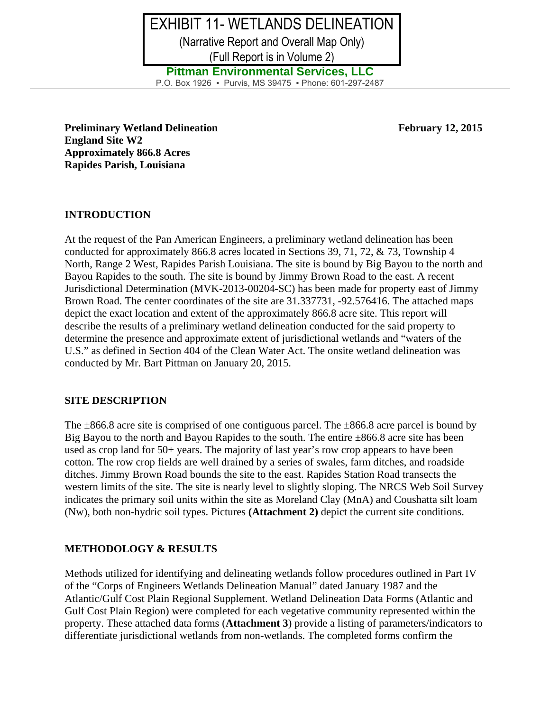EXHIBIT 11- WETLANDS DELINEATION

(Narrative Report and Overall Map Only)

(Full Report is in Volume 2)

**Pittman Environmental Services, LLC**  P.O. Box 1926 ▪ Purvis, MS 39475 ▪ Phone: 601-297-2487

**Preliminary Wetland Delineation** February 12, 2015 **England Site W2 Approximately 866.8 Acres Rapides Parish, Louisiana** 

## **INTRODUCTION**

At the request of the Pan American Engineers, a preliminary wetland delineation has been conducted for approximately 866.8 acres located in Sections 39, 71, 72, & 73, Township 4 North, Range 2 West, Rapides Parish Louisiana. The site is bound by Big Bayou to the north and Bayou Rapides to the south. The site is bound by Jimmy Brown Road to the east. A recent Jurisdictional Determination (MVK-2013-00204-SC) has been made for property east of Jimmy Brown Road. The center coordinates of the site are 31.337731, -92.576416. The attached maps depict the exact location and extent of the approximately 866.8 acre site. This report will describe the results of a preliminary wetland delineation conducted for the said property to determine the presence and approximate extent of jurisdictional wetlands and "waters of the U.S." as defined in Section 404 of the Clean Water Act. The onsite wetland delineation was conducted by Mr. Bart Pittman on January 20, 2015.

### **SITE DESCRIPTION**

The  $\pm 866.8$  acre site is comprised of one contiguous parcel. The  $\pm 866.8$  acre parcel is bound by Big Bayou to the north and Bayou Rapides to the south. The entire  $\pm 866.8$  acre site has been used as crop land for 50+ years. The majority of last year's row crop appears to have been cotton. The row crop fields are well drained by a series of swales, farm ditches, and roadside ditches. Jimmy Brown Road bounds the site to the east. Rapides Station Road transects the western limits of the site. The site is nearly level to slightly sloping. The NRCS Web Soil Survey indicates the primary soil units within the site as Moreland Clay (MnA) and Coushatta silt loam (Nw), both non-hydric soil types. Pictures **(Attachment 2)** depict the current site conditions.

## **METHODOLOGY & RESULTS**

Methods utilized for identifying and delineating wetlands follow procedures outlined in Part IV of the "Corps of Engineers Wetlands Delineation Manual" dated January 1987 and the Atlantic/Gulf Cost Plain Regional Supplement. Wetland Delineation Data Forms (Atlantic and Gulf Cost Plain Region) were completed for each vegetative community represented within the property. These attached data forms (**Attachment 3**) provide a listing of parameters/indicators to differentiate jurisdictional wetlands from non-wetlands. The completed forms confirm the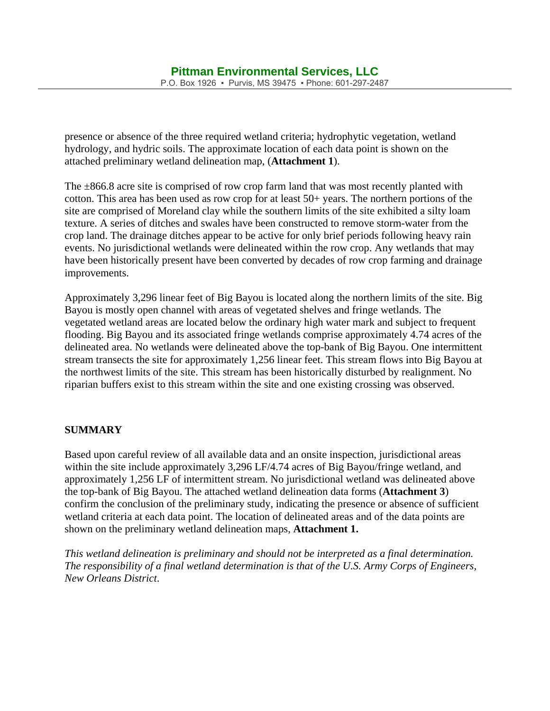presence or absence of the three required wetland criteria; hydrophytic vegetation, wetland hydrology, and hydric soils. The approximate location of each data point is shown on the attached preliminary wetland delineation map, (**Attachment 1**).

The ±866.8 acre site is comprised of row crop farm land that was most recently planted with cotton. This area has been used as row crop for at least 50+ years. The northern portions of the site are comprised of Moreland clay while the southern limits of the site exhibited a silty loam texture. A series of ditches and swales have been constructed to remove storm-water from the crop land. The drainage ditches appear to be active for only brief periods following heavy rain events. No jurisdictional wetlands were delineated within the row crop. Any wetlands that may have been historically present have been converted by decades of row crop farming and drainage improvements.

Approximately 3,296 linear feet of Big Bayou is located along the northern limits of the site. Big Bayou is mostly open channel with areas of vegetated shelves and fringe wetlands. The vegetated wetland areas are located below the ordinary high water mark and subject to frequent flooding. Big Bayou and its associated fringe wetlands comprise approximately 4.74 acres of the delineated area. No wetlands were delineated above the top-bank of Big Bayou. One intermittent stream transects the site for approximately 1,256 linear feet. This stream flows into Big Bayou at the northwest limits of the site. This stream has been historically disturbed by realignment. No riparian buffers exist to this stream within the site and one existing crossing was observed.

## **SUMMARY**

Based upon careful review of all available data and an onsite inspection, jurisdictional areas within the site include approximately 3,296 LF/4.74 acres of Big Bayou/fringe wetland, and approximately 1,256 LF of intermittent stream. No jurisdictional wetland was delineated above the top-bank of Big Bayou. The attached wetland delineation data forms (**Attachment 3**) confirm the conclusion of the preliminary study, indicating the presence or absence of sufficient wetland criteria at each data point. The location of delineated areas and of the data points are shown on the preliminary wetland delineation maps, **Attachment 1.** 

*This wetland delineation is preliminary and should not be interpreted as a final determination. The responsibility of a final wetland determination is that of the U.S. Army Corps of Engineers, New Orleans District*.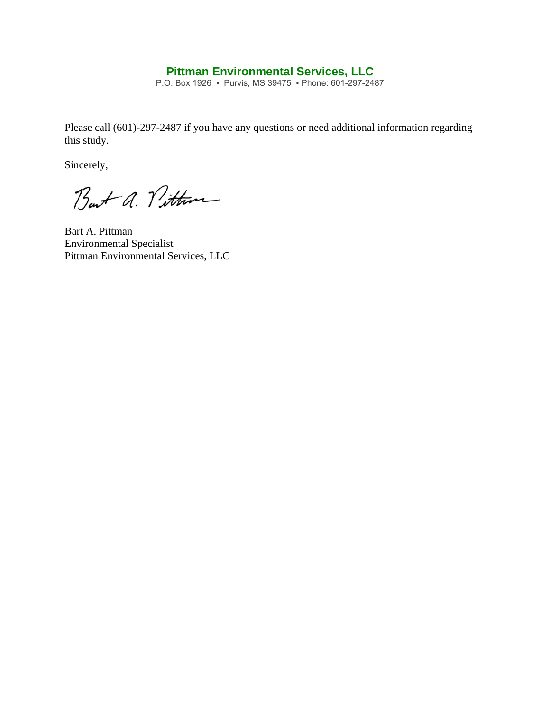Please call (601)-297-2487 if you have any questions or need additional information regarding this study.

Sincerely,

Bart a. Pitton

Bart A. Pittman Environmental Specialist Pittman Environmental Services, LLC